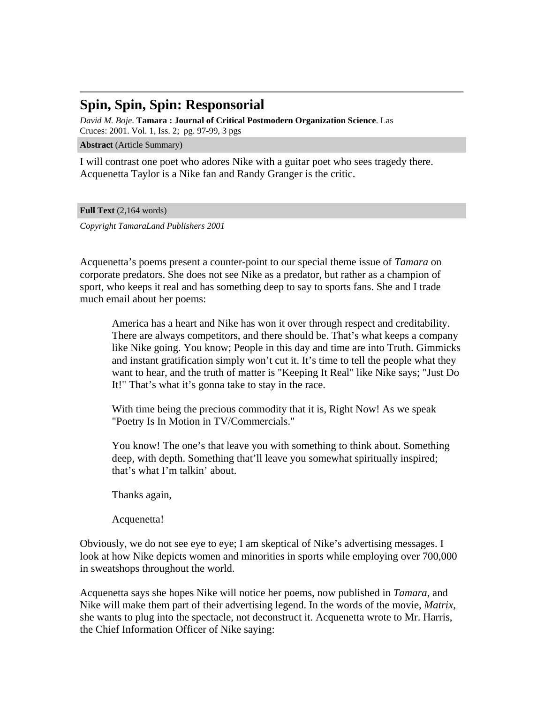## **Spin, Spin, Spin: Responsorial**

*David M. Boje*. **Tamara : Journal of Critical Postmodern Organization Science**. Las Cruces: 2001. Vol. 1, Iss. 2; pg. 97-99, 3 pgs

**Abstract** (Article Summary)

I will contrast one poet who adores Nike with a guitar poet who sees tragedy there. Acquenetta Taylor is a Nike fan and Randy Granger is the critic.

**Full Text** (2,164 words)

*Copyright TamaraLand Publishers 2001*

Acquenetta's poems present a counter-point to our special theme issue of *Tamara* on corporate predators. She does not see Nike as a predator, but rather as a champion of sport, who keeps it real and has something deep to say to sports fans. She and I trade much email about her poems:

America has a heart and Nike has won it over through respect and creditability. There are always competitors, and there should be. That's what keeps a company like Nike going. You know; People in this day and time are into Truth. Gimmicks and instant gratification simply won't cut it. It's time to tell the people what they want to hear, and the truth of matter is "Keeping It Real" like Nike says; "Just Do It!" That's what it's gonna take to stay in the race.

With time being the precious commodity that it is, Right Now! As we speak "Poetry Is In Motion in TV/Commercials."

You know! The one's that leave you with something to think about. Something deep, with depth. Something that'll leave you somewhat spiritually inspired; that's what I'm talkin' about.

Thanks again,

Acquenetta!

Obviously, we do not see eye to eye; I am skeptical of Nike's advertising messages. I look at how Nike depicts women and minorities in sports while employing over 700,000 in sweatshops throughout the world.

Acquenetta says she hopes Nike will notice her poems, now published in *Tamara*, and Nike will make them part of their advertising legend. In the words of the movie, *Matrix*, she wants to plug into the spectacle, not deconstruct it. Acquenetta wrote to Mr. Harris, the Chief Information Officer of Nike saying: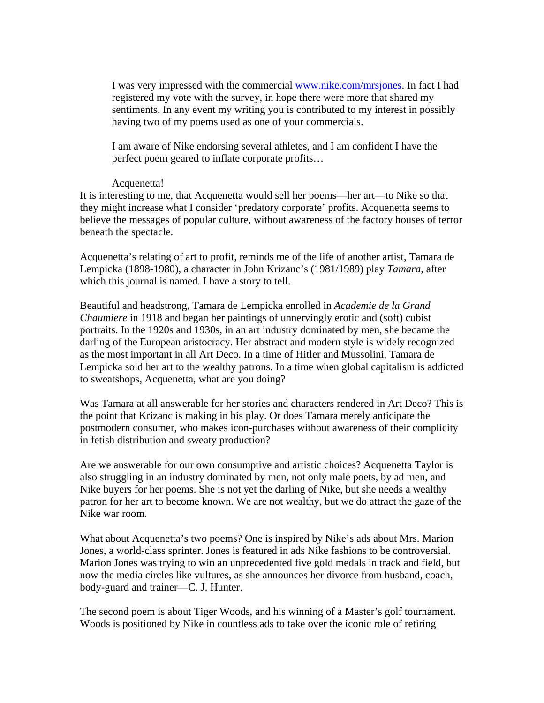I was very impressed with the commercial www.nike.com/mrsjones. In fact I had registered my vote with the survey, in hope there were more that shared my sentiments. In any event my writing you is contributed to my interest in possibly having two of my poems used as one of your commercials.

I am aware of Nike endorsing several athletes, and I am confident I have the perfect poem geared to inflate corporate profits…

### Acquenetta!

It is interesting to me, that Acquenetta would sell her poems—her art—to Nike so that they might increase what I consider 'predatory corporate' profits. Acquenetta seems to believe the messages of popular culture, without awareness of the factory houses of terror beneath the spectacle.

Acquenetta's relating of art to profit, reminds me of the life of another artist, Tamara de Lempicka (1898-1980), a character in John Krizanc's (1981/1989) play *Tamara*, after which this journal is named. I have a story to tell.

Beautiful and headstrong, Tamara de Lempicka enrolled in *Academie de la Grand Chaumiere* in 1918 and began her paintings of unnervingly erotic and (soft) cubist portraits. In the 1920s and 1930s, in an art industry dominated by men, she became the darling of the European aristocracy. Her abstract and modern style is widely recognized as the most important in all Art Deco. In a time of Hitler and Mussolini, Tamara de Lempicka sold her art to the wealthy patrons. In a time when global capitalism is addicted to sweatshops, Acquenetta, what are you doing?

Was Tamara at all answerable for her stories and characters rendered in Art Deco? This is the point that Krizanc is making in his play. Or does Tamara merely anticipate the postmodern consumer, who makes icon-purchases without awareness of their complicity in fetish distribution and sweaty production?

Are we answerable for our own consumptive and artistic choices? Acquenetta Taylor is also struggling in an industry dominated by men, not only male poets, by ad men, and Nike buyers for her poems. She is not yet the darling of Nike, but she needs a wealthy patron for her art to become known. We are not wealthy, but we do attract the gaze of the Nike war room.

What about Acquenetta's two poems? One is inspired by Nike's ads about Mrs. Marion Jones, a world-class sprinter. Jones is featured in ads Nike fashions to be controversial. Marion Jones was trying to win an unprecedented five gold medals in track and field, but now the media circles like vultures, as she announces her divorce from husband, coach, body-guard and trainer—C. J. Hunter.

The second poem is about Tiger Woods, and his winning of a Master's golf tournament. Woods is positioned by Nike in countless ads to take over the iconic role of retiring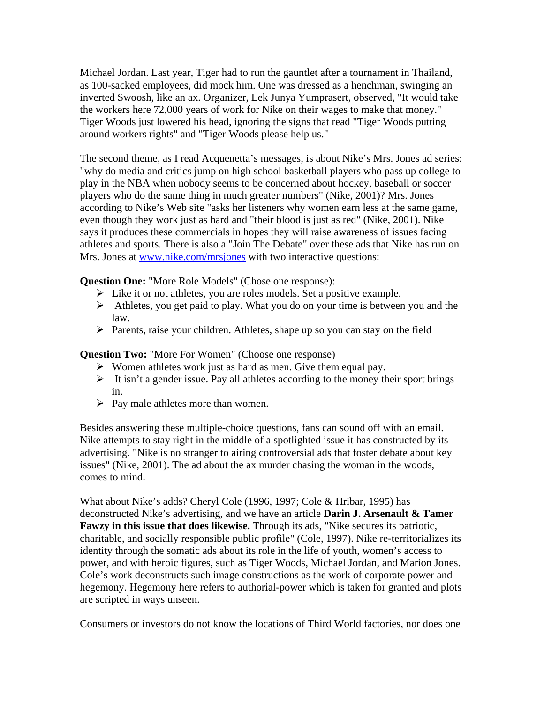Michael Jordan. Last year, Tiger had to run the gauntlet after a tournament in Thailand, as 100-sacked employees, did mock him. One was dressed as a henchman, swinging an inverted Swoosh, like an ax. Organizer, Lek Junya Yumprasert, observed, "It would take the workers here 72,000 years of work for Nike on their wages to make that money." Tiger Woods just lowered his head, ignoring the signs that read "Tiger Woods putting around workers rights" and "Tiger Woods please help us."

The second theme, as I read Acquenetta's messages, is about Nike's Mrs. Jones ad series: "why do media and critics jump on high school basketball players who pass up college to play in the NBA when nobody seems to be concerned about hockey, baseball or soccer players who do the same thing in much greater numbers" (Nike, 2001)? Mrs. Jones according to Nike's Web site "asks her listeners why women earn less at the same game, even though they work just as hard and "their blood is just as red" (Nike, 2001). Nike says it produces these commercials in hopes they will raise awareness of issues facing athletes and sports. There is also a "Join The Debate" over these ads that Nike has run on Mrs. Jones at [www.nike.com/mrsjones](http://www.nike.com/mrsjones) with two interactive questions:

**Question One:** "More Role Models" (Chose one response):

- $\triangleright$  Like it or not athletes, you are roles models. Set a positive example.
- $\triangleright$  Athletes, you get paid to play. What you do on your time is between you and the law.
- $\triangleright$  Parents, raise your children. Athletes, shape up so you can stay on the field

## **Question Two:** "More For Women" (Choose one response)

- $\triangleright$  Women athletes work just as hard as men. Give them equal pay.
- $\triangleright$  It isn't a gender issue. Pay all athletes according to the money their sport brings in.
- $\triangleright$  Pay male athletes more than women.

Besides answering these multiple-choice questions, fans can sound off with an email. Nike attempts to stay right in the middle of a spotlighted issue it has constructed by its advertising. "Nike is no stranger to airing controversial ads that foster debate about key issues" (Nike, 2001). The ad about the ax murder chasing the woman in the woods, comes to mind.

What about Nike's adds? Cheryl Cole (1996, 1997; Cole & Hribar, 1995) has deconstructed Nike's advertising, and we have an article **Darin J. Arsenault & Tamer Fawzy in this issue that does likewise.** Through its ads, "Nike secures its patriotic, charitable, and socially responsible public profile" (Cole, 1997). Nike re-territorializes its identity through the somatic ads about its role in the life of youth, women's access to power, and with heroic figures, such as Tiger Woods, Michael Jordan, and Marion Jones. Cole's work deconstructs such image constructions as the work of corporate power and hegemony. Hegemony here refers to authorial-power which is taken for granted and plots are scripted in ways unseen.

Consumers or investors do not know the locations of Third World factories, nor does one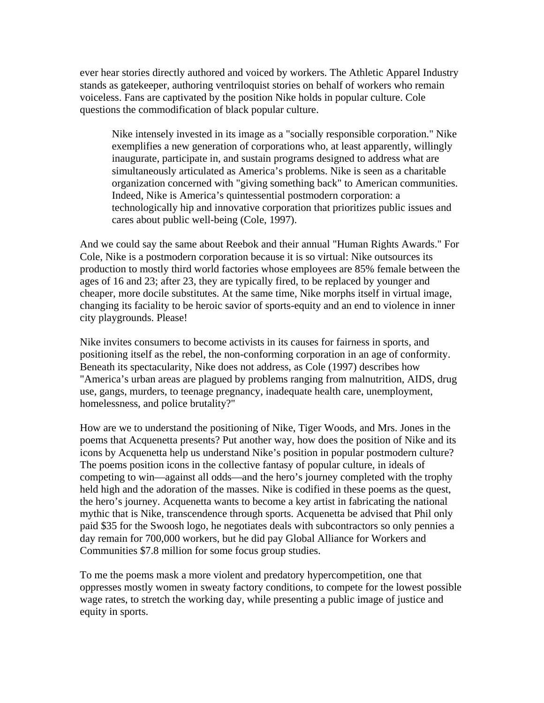ever hear stories directly authored and voiced by workers. The Athletic Apparel Industry stands as gatekeeper, authoring ventriloquist stories on behalf of workers who remain voiceless. Fans are captivated by the position Nike holds in popular culture. Cole questions the commodification of black popular culture.

Nike intensely invested in its image as a "socially responsible corporation." Nike exemplifies a new generation of corporations who, at least apparently, willingly inaugurate, participate in, and sustain programs designed to address what are simultaneously articulated as America's problems. Nike is seen as a charitable organization concerned with "giving something back" to American communities. Indeed, Nike is America's quintessential postmodern corporation: a technologically hip and innovative corporation that prioritizes public issues and cares about public well-being (Cole, 1997).

And we could say the same about Reebok and their annual "Human Rights Awards." For Cole, Nike is a postmodern corporation because it is so virtual: Nike outsources its production to mostly third world factories whose employees are 85% female between the ages of 16 and 23; after 23, they are typically fired, to be replaced by younger and cheaper, more docile substitutes. At the same time, Nike morphs itself in virtual image, changing its faciality to be heroic savior of sports-equity and an end to violence in inner city playgrounds. Please!

Nike invites consumers to become activists in its causes for fairness in sports, and positioning itself as the rebel, the non-conforming corporation in an age of conformity. Beneath its spectacularity, Nike does not address, as Cole (1997) describes how "America's urban areas are plagued by problems ranging from malnutrition, AIDS, drug use, gangs, murders, to teenage pregnancy, inadequate health care, unemployment, homelessness, and police brutality?"

How are we to understand the positioning of Nike, Tiger Woods, and Mrs. Jones in the poems that Acquenetta presents? Put another way, how does the position of Nike and its icons by Acquenetta help us understand Nike's position in popular postmodern culture? The poems position icons in the collective fantasy of popular culture, in ideals of competing to win—against all odds—and the hero's journey completed with the trophy held high and the adoration of the masses. Nike is codified in these poems as the quest, the hero's journey. Acquenetta wants to become a key artist in fabricating the national mythic that is Nike, transcendence through sports. Acquenetta be advised that Phil only paid \$35 for the Swoosh logo, he negotiates deals with subcontractors so only pennies a day remain for 700,000 workers, but he did pay Global Alliance for Workers and Communities \$7.8 million for some focus group studies.

To me the poems mask a more violent and predatory hypercompetition, one that oppresses mostly women in sweaty factory conditions, to compete for the lowest possible wage rates, to stretch the working day, while presenting a public image of justice and equity in sports.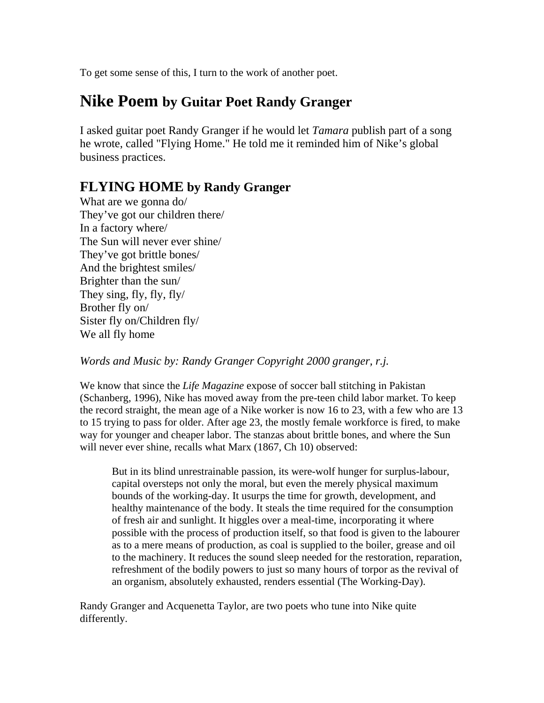To get some sense of this, I turn to the work of another poet.

# **Nike Poem by Guitar Poet Randy Granger**

I asked guitar poet Randy Granger if he would let *Tamara* publish part of a song he wrote, called "Flying Home." He told me it reminded him of Nike's global business practices.

# **FLYING HOME by Randy Granger**

What are we gonna do/ They've got our children there/ In a factory where/ The Sun will never ever shine/ They've got brittle bones/ And the brightest smiles/ Brighter than the sun/ They sing, fly, fly, fly/ Brother fly on/ Sister fly on/Children fly/ We all fly home

*Words and Music by: Randy Granger Copyright 2000 granger, r.j.* 

We know that since the *Life Magazine* expose of soccer ball stitching in Pakistan (Schanberg, 1996), Nike has moved away from the pre-teen child labor market. To keep the record straight, the mean age of a Nike worker is now 16 to 23, with a few who are 13 to 15 trying to pass for older. After age 23, the mostly female workforce is fired, to make way for younger and cheaper labor. The stanzas about brittle bones, and where the Sun will never ever shine, recalls what Marx (1867, Ch 10) observed:

But in its blind unrestrainable passion, its were-wolf hunger for surplus-labour, capital oversteps not only the moral, but even the merely physical maximum bounds of the working-day. It usurps the time for growth, development, and healthy maintenance of the body. It steals the time required for the consumption of fresh air and sunlight. It higgles over a meal-time, incorporating it where possible with the process of production itself, so that food is given to the labourer as to a mere means of production, as coal is supplied to the boiler, grease and oil to the machinery. It reduces the sound sleep needed for the restoration, reparation, refreshment of the bodily powers to just so many hours of torpor as the revival of an organism, absolutely exhausted, renders essential (The Working-Day).

Randy Granger and Acquenetta Taylor, are two poets who tune into Nike quite differently.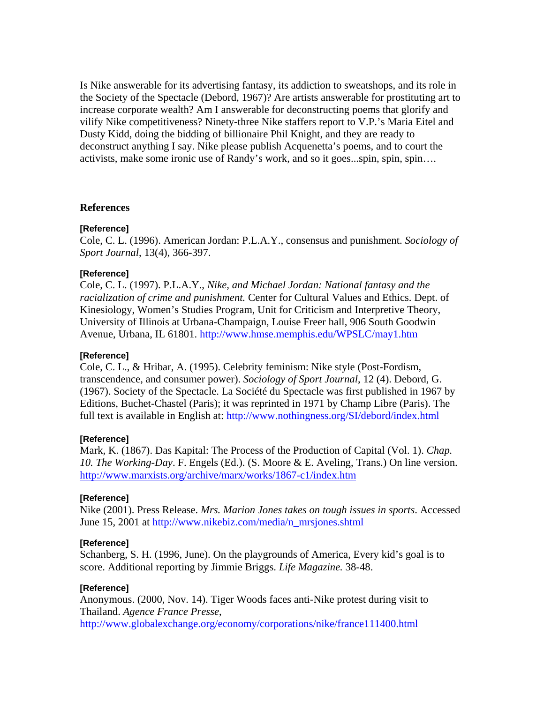Is Nike answerable for its advertising fantasy, its addiction to sweatshops, and its role in the Society of the Spectacle (Debord, 1967)? Are artists answerable for prostituting art to increase corporate wealth? Am I answerable for deconstructing poems that glorify and vilify Nike competitiveness? Ninety-three Nike staffers report to V.P.'s Maria Eitel and Dusty Kidd, doing the bidding of billionaire Phil Knight, and they are ready to deconstruct anything I say. Nike please publish Acquenetta's poems, and to court the activists, make some ironic use of Randy's work, and so it goes...spin, spin, spin….

#### **References**

#### **[Reference]**

Cole, C. L. (1996). American Jordan: P.L.A.Y., consensus and punishment. *Sociology of Sport Journal*, 13(4), 366-397.

#### **[Reference]**

Cole, C. L. (1997). P.L.A.Y., *Nike, and Michael Jordan: National fantasy and the racialization of crime and punishment.* Center for Cultural Values and Ethics. Dept. of Kinesiology, Women's Studies Program, Unit for Criticism and Interpretive Theory, University of Illinois at Urbana-Champaign, Louise Freer hall, 906 South Goodwin Avenue, Urbana, IL 61801. http://www.hmse.memphis.edu/WPSLC/may1.htm

#### **[Reference]**

Cole, C. L., & Hribar, A. (1995). Celebrity feminism: Nike style (Post-Fordism, transcendence, and consumer power). *Sociology of Sport Journal*, 12 (4). Debord, G. (1967). Society of the Spectacle. La Société du Spectacle was first published in 1967 by Editions, Buchet-Chastel (Paris); it was reprinted in 1971 by Champ Libre (Paris). The full text is available in English at: http://www.nothingness.org/SI/debord/index.html

#### **[Reference]**

Mark, K. (1867). Das Kapital: The Process of the Production of Capital (Vol. 1). *Chap. 10. The Working-Day*. F. Engels (Ed.). (S. Moore & E. Aveling, Trans.) On line version. <http://www.marxists.org/archive/marx/works/1867-c1/index.htm>

#### **[Reference]**

Nike (2001). Press Release. *Mrs. Marion Jones takes on tough issues in sports*. Accessed June 15, 2001 at http://www.nikebiz.com/media/n\_mrsjones.shtml

#### **[Reference]**

Schanberg, S. H. (1996, June). On the playgrounds of America, Every kid's goal is to score. Additional reporting by Jimmie Briggs. *Life Magazine.* 38-48.

#### **[Reference]**

Anonymous. (2000, Nov. 14). Tiger Woods faces anti-Nike protest during visit to Thailand. *Agence France Presse*,

http://www.globalexchange.org/economy/corporations/nike/france111400.html